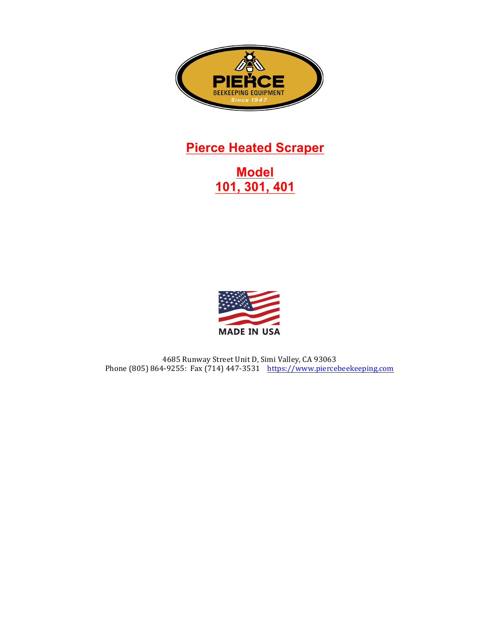

# **Pierce Heated Scraper**

# **Model 101, 301, 401**



4685 Runway Street Unit D, Simi Valley, CA 93063 Phone (805) 864-9255: Fax (714) 447-3531 https://www.piercebeekeeping.com